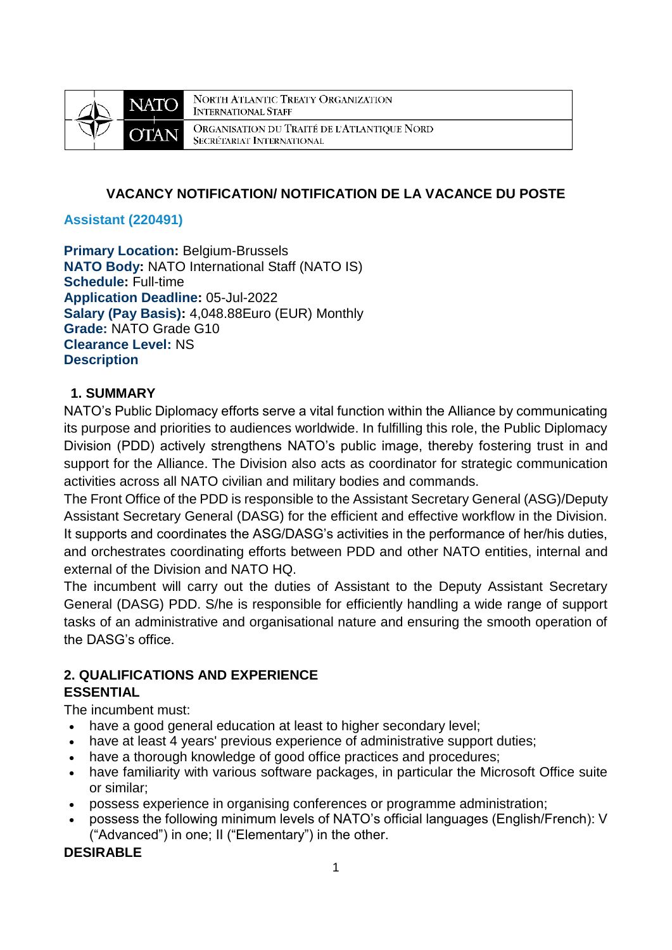

NORTH ATLANTIC TREATY ORGANIZATION **INTERNATIONAL STAFF** ORGANISATION DU TRAITÉ DE L'ATLANTIQUE NORD SECRÉTARIAT INTERNATIONAL

# **VACANCY NOTIFICATION/ NOTIFICATION DE LA VACANCE DU POSTE**

### **Assistant (220491)**

**Primary Location: Belgium-Brussels NATO Body:** NATO International Staff (NATO IS) **Schedule:** Full-time **Application Deadline:** 05-Jul-2022 **Salary (Pay Basis):** 4,048.88Euro (EUR) Monthly **Grade:** NATO Grade G10 **Clearance Level:** NS **Description**

### **1. SUMMARY**

NATO's Public Diplomacy efforts serve a vital function within the Alliance by communicating its purpose and priorities to audiences worldwide. In fulfilling this role, the Public Diplomacy Division (PDD) actively strengthens NATO's public image, thereby fostering trust in and support for the Alliance. The Division also acts as coordinator for strategic communication activities across all NATO civilian and military bodies and commands.

The Front Office of the PDD is responsible to the Assistant Secretary General (ASG)/Deputy Assistant Secretary General (DASG) for the efficient and effective workflow in the Division. It supports and coordinates the ASG/DASG's activities in the performance of her/his duties, and orchestrates coordinating efforts between PDD and other NATO entities, internal and external of the Division and NATO HQ.

The incumbent will carry out the duties of Assistant to the Deputy Assistant Secretary General (DASG) PDD. S/he is responsible for efficiently handling a wide range of support tasks of an administrative and organisational nature and ensuring the smooth operation of the DASG's office.

# **2. QUALIFICATIONS AND EXPERIENCE**

### **ESSENTIAL**

The incumbent must:

- have a good general education at least to higher secondary level;
- have at least 4 years' previous experience of administrative support duties;
- have a thorough knowledge of good office practices and procedures;
- have familiarity with various software packages, in particular the Microsoft Office suite or similar;
- possess experience in organising conferences or programme administration;
- possess the following minimum levels of NATO's official languages (English/French): V ("Advanced") in one; II ("Elementary") in the other.

# **DESIRABLE**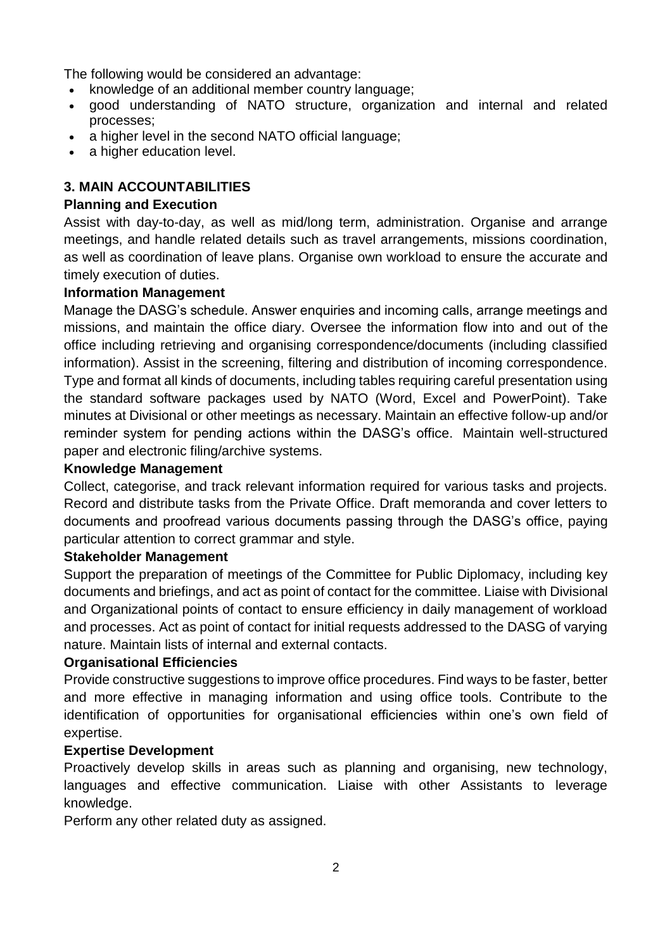The following would be considered an advantage:

- knowledge of an additional member country language;
- good understanding of NATO structure, organization and internal and related processes;
- a higher level in the second NATO official language;
- a higher education level.

# **3. MAIN ACCOUNTABILITIES**

### **Planning and Execution**

Assist with day-to-day, as well as mid/long term, administration. Organise and arrange meetings, and handle related details such as travel arrangements, missions coordination, as well as coordination of leave plans. Organise own workload to ensure the accurate and timely execution of duties.

### **Information Management**

Manage the DASG's schedule. Answer enquiries and incoming calls, arrange meetings and missions, and maintain the office diary. Oversee the information flow into and out of the office including retrieving and organising correspondence/documents (including classified information). Assist in the screening, filtering and distribution of incoming correspondence. Type and format all kinds of documents, including tables requiring careful presentation using the standard software packages used by NATO (Word, Excel and PowerPoint). Take minutes at Divisional or other meetings as necessary. Maintain an effective follow-up and/or reminder system for pending actions within the DASG's office. Maintain well-structured paper and electronic filing/archive systems.

### **Knowledge Management**

Collect, categorise, and track relevant information required for various tasks and projects. Record and distribute tasks from the Private Office. Draft memoranda and cover letters to documents and proofread various documents passing through the DASG's office, paying particular attention to correct grammar and style.

### **Stakeholder Management**

Support the preparation of meetings of the Committee for Public Diplomacy, including key documents and briefings, and act as point of contact for the committee. Liaise with Divisional and Organizational points of contact to ensure efficiency in daily management of workload and processes. Act as point of contact for initial requests addressed to the DASG of varying nature. Maintain lists of internal and external contacts.

### **Organisational Efficiencies**

Provide constructive suggestions to improve office procedures. Find ways to be faster, better and more effective in managing information and using office tools. Contribute to the identification of opportunities for organisational efficiencies within one's own field of expertise.

### **Expertise Development**

Proactively develop skills in areas such as planning and organising, new technology, languages and effective communication. Liaise with other Assistants to leverage knowledge.

Perform any other related duty as assigned.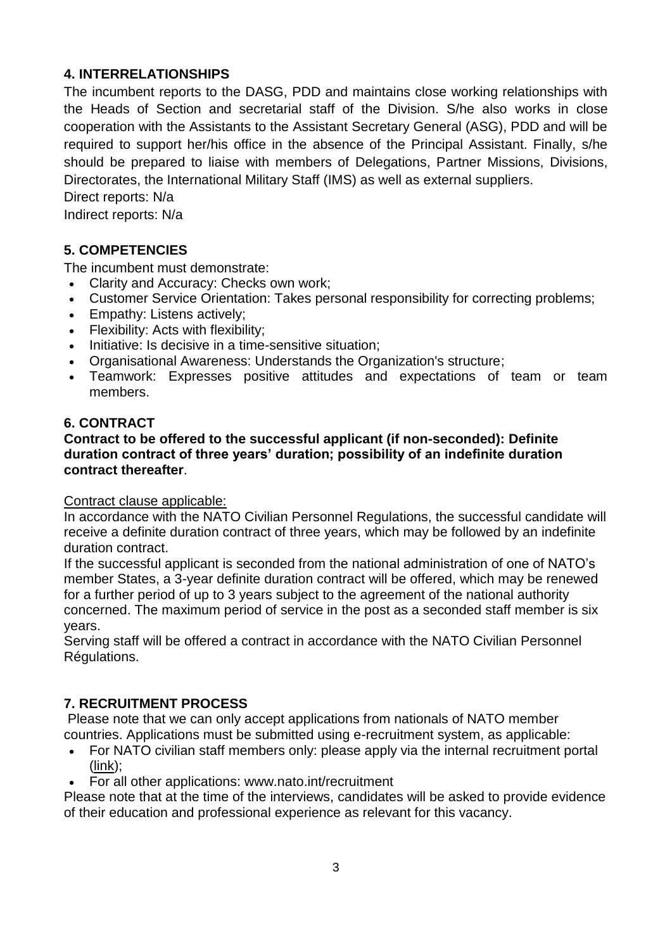# **4. INTERRELATIONSHIPS**

The incumbent reports to the DASG, PDD and maintains close working relationships with the Heads of Section and secretarial staff of the Division. S/he also works in close cooperation with the Assistants to the Assistant Secretary General (ASG), PDD and will be required to support her/his office in the absence of the Principal Assistant. Finally, s/he should be prepared to liaise with members of Delegations, Partner Missions, Divisions, Directorates, the International Military Staff (IMS) as well as external suppliers.

Direct reports: N/a

Indirect reports: N/a

# **5. COMPETENCIES**

The incumbent must demonstrate:

- Clarity and Accuracy: Checks own work;
- Customer Service Orientation: Takes personal responsibility for correcting problems;
- Empathy: Listens actively;
- Flexibility: Acts with flexibility:
- Initiative: Is decisive in a time-sensitive situation;
- Organisational Awareness: Understands the Organization's structure;
- Teamwork: Expresses positive attitudes and expectations of team or team members.

# **6. CONTRACT**

### **Contract to be offered to the successful applicant (if non-seconded): Definite duration contract of three years' duration; possibility of an indefinite duration contract thereafter**.

### Contract clause applicable:

In accordance with the NATO Civilian Personnel Regulations, the successful candidate will receive a definite duration contract of three years, which may be followed by an indefinite duration contract.

If the successful applicant is seconded from the national administration of one of NATO's member States, a 3-year definite duration contract will be offered, which may be renewed for a further period of up to 3 years subject to the agreement of the national authority concerned. The maximum period of service in the post as a seconded staff member is six years.

Serving staff will be offered a contract in accordance with the NATO Civilian Personnel Régulations.

# **7. RECRUITMENT PROCESS**

Please note that we can only accept applications from nationals of NATO member countries. Applications must be submitted using e-recruitment system, as applicable:

- For NATO civilian staff members only: please apply via the internal recruitment portal [\(link\)](https://nato.taleo.net/careersection/1/jobsearch.ftl?lang=en);
- For all other applications: www.nato.int/recruitment

Please note that at the time of the interviews, candidates will be asked to provide evidence of their education and professional experience as relevant for this vacancy.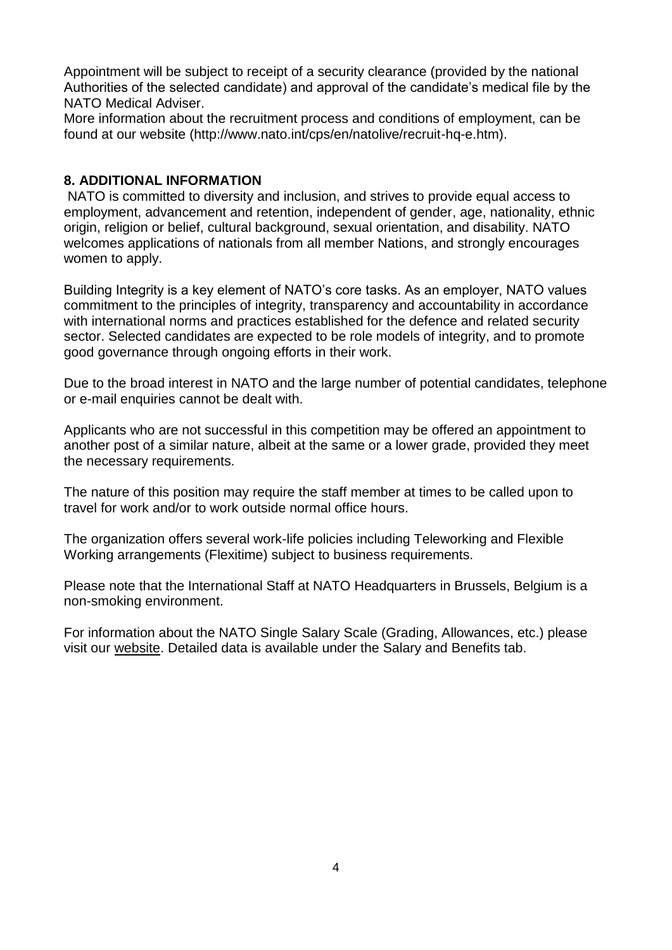Appointment will be subject to receipt of a security clearance (provided by the national Authorities of the selected candidate) and approval of the candidate's medical file by the NATO Medical Adviser.

More information about the recruitment process and conditions of employment, can be found at our website (http://www.nato.int/cps/en/natolive/recruit-hq-e.htm).

### **8. ADDITIONAL INFORMATION**

NATO is committed to diversity and inclusion, and strives to provide equal access to employment, advancement and retention, independent of gender, age, nationality, ethnic origin, religion or belief, cultural background, sexual orientation, and disability. NATO welcomes applications of nationals from all member Nations, and strongly encourages women to apply.

Building Integrity is a key element of NATO's core tasks. As an employer, NATO values commitment to the principles of integrity, transparency and accountability in accordance with international norms and practices established for the defence and related security sector. Selected candidates are expected to be role models of integrity, and to promote good governance through ongoing efforts in their work.

Due to the broad interest in NATO and the large number of potential candidates, telephone or e-mail enquiries cannot be dealt with.

Applicants who are not successful in this competition may be offered an appointment to another post of a similar nature, albeit at the same or a lower grade, provided they meet the necessary requirements.

The nature of this position may require the staff member at times to be called upon to travel for work and/or to work outside normal office hours.

The organization offers several work-life policies including Teleworking and Flexible Working arrangements (Flexitime) subject to business requirements.

Please note that the International Staff at NATO Headquarters in Brussels, Belgium is a non-smoking environment.

For information about the NATO Single Salary Scale (Grading, Allowances, etc.) please visit our [website.](https://www.nato.int/cps/en/natolive/86790.htm) Detailed data is available under the Salary and Benefits tab.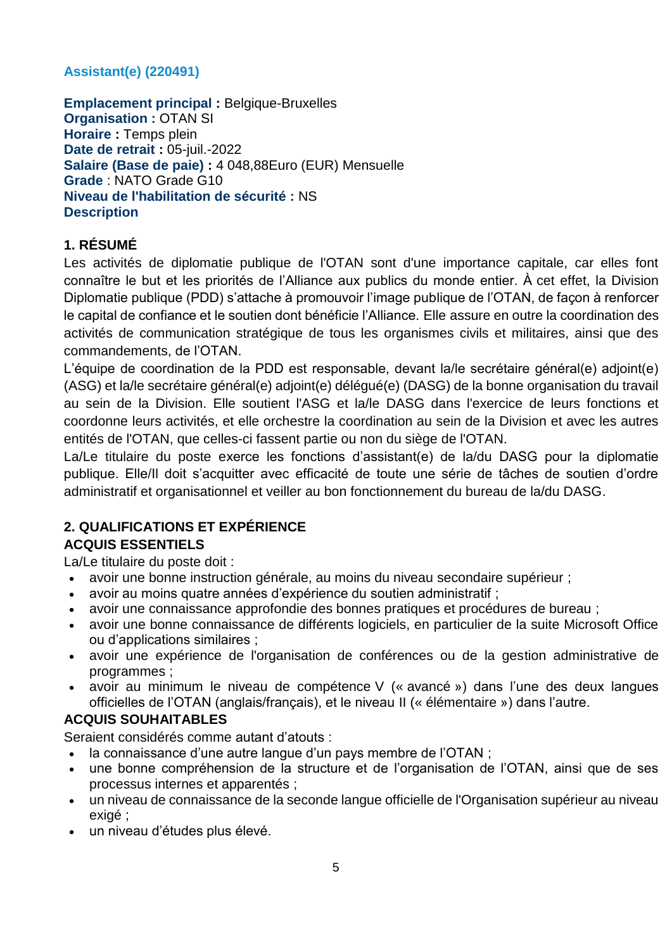# **Assistant(e) (220491)**

**Emplacement principal :** Belgique-Bruxelles **Organisation :** OTAN SI **Horaire :** Temps plein **Date de retrait :** 05-juil.-2022 **Salaire (Base de paie) :** 4 048,88Euro (EUR) Mensuelle **Grade** : NATO Grade G10 **Niveau de l'habilitation de sécurité :** NS **Description**

# **1. RÉSUMÉ**

Les activités de diplomatie publique de l'OTAN sont d'une importance capitale, car elles font connaître le but et les priorités de l'Alliance aux publics du monde entier. À cet effet, la Division Diplomatie publique (PDD) s'attache à promouvoir l'image publique de l'OTAN, de façon à renforcer le capital de confiance et le soutien dont bénéficie l'Alliance. Elle assure en outre la coordination des activités de communication stratégique de tous les organismes civils et militaires, ainsi que des commandements, de l'OTAN.

L'équipe de coordination de la PDD est responsable, devant la/le secrétaire général(e) adjoint(e) (ASG) et la/le secrétaire général(e) adjoint(e) délégué(e) (DASG) de la bonne organisation du travail au sein de la Division. Elle soutient l'ASG et la/le DASG dans l'exercice de leurs fonctions et coordonne leurs activités, et elle orchestre la coordination au sein de la Division et avec les autres entités de l'OTAN, que celles-ci fassent partie ou non du siège de l'OTAN.

La/Le titulaire du poste exerce les fonctions d'assistant(e) de la/du DASG pour la diplomatie publique. Elle/Il doit s'acquitter avec efficacité de toute une série de tâches de soutien d'ordre administratif et organisationnel et veiller au bon fonctionnement du bureau de la/du DASG.

### **2. QUALIFICATIONS ET EXPÉRIENCE ACQUIS ESSENTIELS**

La/Le titulaire du poste doit :

- avoir une bonne instruction générale, au moins du niveau secondaire supérieur ;
- avoir au moins quatre années d'expérience du soutien administratif ;
- avoir une connaissance approfondie des bonnes pratiques et procédures de bureau ;
- avoir une bonne connaissance de différents logiciels, en particulier de la suite Microsoft Office ou d'applications similaires ;
- avoir une expérience de l'organisation de conférences ou de la gestion administrative de programmes ;
- avoir au minimum le niveau de compétence V (« avancé ») dans l'une des deux langues officielles de l'OTAN (anglais/français), et le niveau II (« élémentaire ») dans l'autre.

# **ACQUIS SOUHAITABLES**

Seraient considérés comme autant d'atouts :

- la connaissance d'une autre langue d'un pays membre de l'OTAN ;
- une bonne compréhension de la structure et de l'organisation de l'OTAN, ainsi que de ses processus internes et apparentés ;
- un niveau de connaissance de la seconde langue officielle de l'Organisation supérieur au niveau exigé ;
- un niveau d'études plus élevé.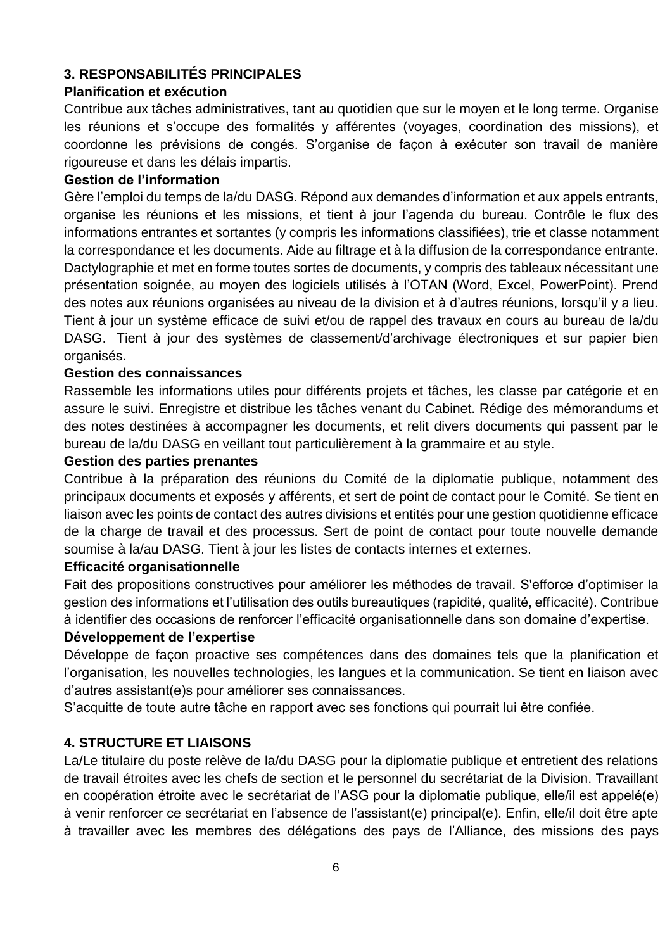# **3. RESPONSABILITÉS PRINCIPALES**

### **Planification et exécution**

Contribue aux tâches administratives, tant au quotidien que sur le moyen et le long terme. Organise les réunions et s'occupe des formalités y afférentes (voyages, coordination des missions), et coordonne les prévisions de congés. S'organise de façon à exécuter son travail de manière rigoureuse et dans les délais impartis.

### **Gestion de l'information**

Gère l'emploi du temps de la/du DASG. Répond aux demandes d'information et aux appels entrants, organise les réunions et les missions, et tient à jour l'agenda du bureau. Contrôle le flux des informations entrantes et sortantes (y compris les informations classifiées), trie et classe notamment la correspondance et les documents. Aide au filtrage et à la diffusion de la correspondance entrante. Dactylographie et met en forme toutes sortes de documents, y compris des tableaux nécessitant une présentation soignée, au moyen des logiciels utilisés à l'OTAN (Word, Excel, PowerPoint). Prend des notes aux réunions organisées au niveau de la division et à d'autres réunions, lorsqu'il y a lieu. Tient à jour un système efficace de suivi et/ou de rappel des travaux en cours au bureau de la/du DASG. Tient à jour des systèmes de classement/d'archivage électroniques et sur papier bien organisés.

### **Gestion des connaissances**

Rassemble les informations utiles pour différents projets et tâches, les classe par catégorie et en assure le suivi. Enregistre et distribue les tâches venant du Cabinet. Rédige des mémorandums et des notes destinées à accompagner les documents, et relit divers documents qui passent par le bureau de la/du DASG en veillant tout particulièrement à la grammaire et au style.

#### **Gestion des parties prenantes**

Contribue à la préparation des réunions du Comité de la diplomatie publique, notamment des principaux documents et exposés y afférents, et sert de point de contact pour le Comité. Se tient en liaison avec les points de contact des autres divisions et entités pour une gestion quotidienne efficace de la charge de travail et des processus. Sert de point de contact pour toute nouvelle demande soumise à la/au DASG. Tient à jour les listes de contacts internes et externes.

### **Efficacité organisationnelle**

Fait des propositions constructives pour améliorer les méthodes de travail. S'efforce d'optimiser la gestion des informations et l'utilisation des outils bureautiques (rapidité, qualité, efficacité). Contribue à identifier des occasions de renforcer l'efficacité organisationnelle dans son domaine d'expertise.

### **Développement de l'expertise**

Développe de façon proactive ses compétences dans des domaines tels que la planification et l'organisation, les nouvelles technologies, les langues et la communication. Se tient en liaison avec d'autres assistant(e)s pour améliorer ses connaissances.

S'acquitte de toute autre tâche en rapport avec ses fonctions qui pourrait lui être confiée.

### **4. STRUCTURE ET LIAISONS**

La/Le titulaire du poste relève de la/du DASG pour la diplomatie publique et entretient des relations de travail étroites avec les chefs de section et le personnel du secrétariat de la Division. Travaillant en coopération étroite avec le secrétariat de l'ASG pour la diplomatie publique, elle/il est appelé(e) à venir renforcer ce secrétariat en l'absence de l'assistant(e) principal(e). Enfin, elle/il doit être apte à travailler avec les membres des délégations des pays de l'Alliance, des missions des pays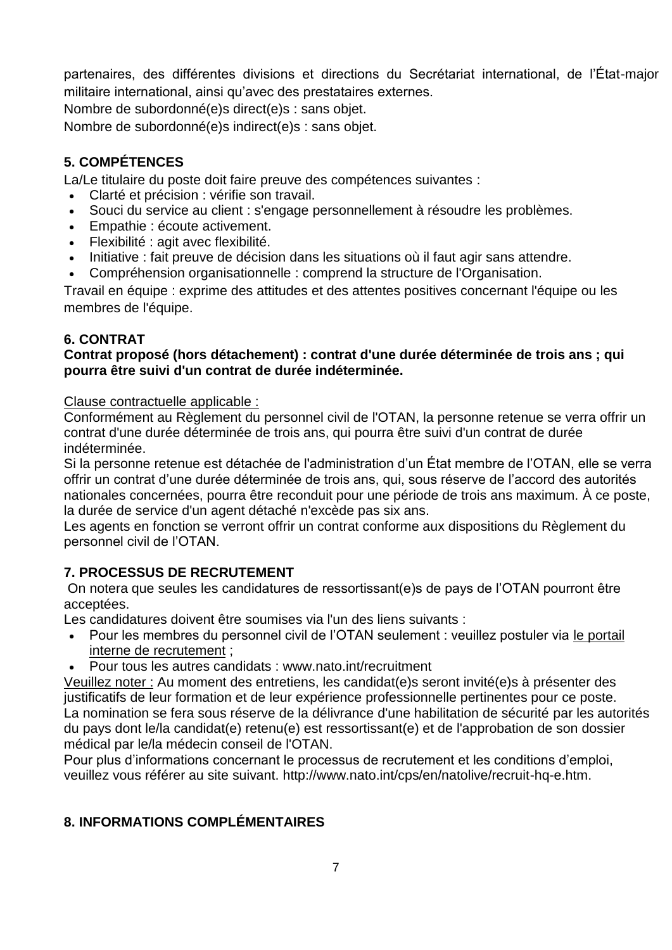partenaires, des différentes divisions et directions du Secrétariat international, de l'État-major militaire international, ainsi qu'avec des prestataires externes.

Nombre de subordonné(e)s direct(e)s : sans objet.

Nombre de subordonné(e)s indirect(e)s : sans objet.

# **5. COMPÉTENCES**

La/Le titulaire du poste doit faire preuve des compétences suivantes :

- Clarté et précision : vérifie son travail.
- Souci du service au client : s'engage personnellement à résoudre les problèmes.
- Empathie : écoute activement.
- Flexibilité : agit avec flexibilité.
- Initiative : fait preuve de décision dans les situations où il faut agir sans attendre.
- Compréhension organisationnelle : comprend la structure de l'Organisation.

Travail en équipe : exprime des attitudes et des attentes positives concernant l'équipe ou les membres de l'équipe.

# **6. CONTRAT**

### **Contrat proposé (hors détachement) : contrat d'une durée déterminée de trois ans ; qui pourra être suivi d'un contrat de durée indéterminée.**

Clause contractuelle applicable :

Conformément au Règlement du personnel civil de l'OTAN, la personne retenue se verra offrir un contrat d'une durée déterminée de trois ans, qui pourra être suivi d'un contrat de durée indéterminée.

Si la personne retenue est détachée de l'administration d'un État membre de l'OTAN, elle se verra offrir un contrat d'une durée déterminée de trois ans, qui, sous réserve de l'accord des autorités nationales concernées, pourra être reconduit pour une période de trois ans maximum. À ce poste, la durée de service d'un agent détaché n'excède pas six ans.

Les agents en fonction se verront offrir un contrat conforme aux dispositions du Règlement du personnel civil de l'OTAN.

# **7. PROCESSUS DE RECRUTEMENT**

On notera que seules les candidatures de ressortissant(e)s de pays de l'OTAN pourront être acceptées.

Les candidatures doivent être soumises via l'un des liens suivants :

- Pour les membres du personnel civil de l'OTAN seulement : veuillez postuler via [le portail](http://nato.taleo.net/careersection/1/jobsearch.ftl?lang=en)  [interne de recrutement](http://nato.taleo.net/careersection/1/jobsearch.ftl?lang=en) ;
- Pour tous les autres candidats : www.nato.int/recruitment

Veuillez noter : Au moment des entretiens, les candidat(e)s seront invité(e)s à présenter des justificatifs de leur formation et de leur expérience professionnelle pertinentes pour ce poste. La nomination se fera sous réserve de la délivrance d'une habilitation de sécurité par les autorités du pays dont le/la candidat(e) retenu(e) est ressortissant(e) et de l'approbation de son dossier médical par le/la médecin conseil de l'OTAN.

Pour plus d'informations concernant le processus de recrutement et les conditions d'emploi, veuillez vous référer au site suivant. http://www.nato.int/cps/en/natolive/recruit-hq-e.htm.

# **8. INFORMATIONS COMPLÉMENTAIRES**